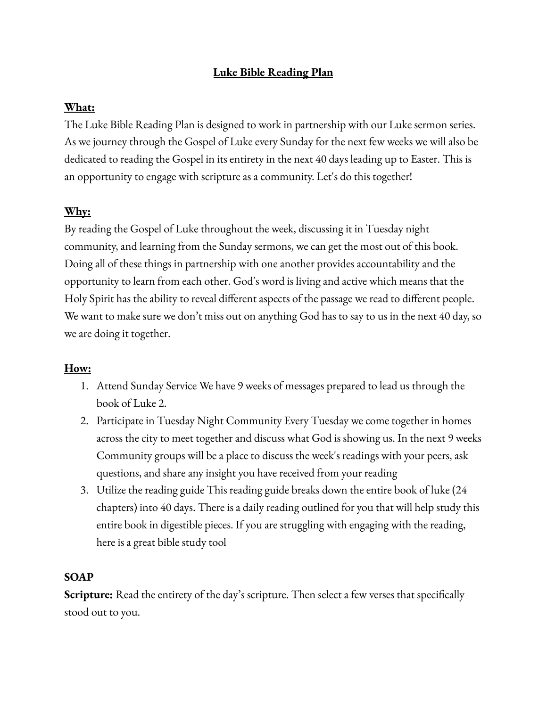# **Luke Bible Reading Plan**

## **What:**

The Luke Bible Reading Plan is designed to work in partnership with our Luke sermon series. As we journey through the Gospel of Luke every Sunday for the next few weeks we will also be dedicated to reading the Gospel in its entirety in the next 40 days leading up to Easter. This is an opportunity to engage with scripture as a community. Let's do this together!

## **Why:**

By reading the Gospel of Luke throughout the week, discussing it in Tuesday night community, and learning from the Sunday sermons, we can get the most out of this book. Doing all of these things in partnership with one another provides accountability and the opportunity to learn from each other. God's word is living and active which means that the Holy Spirit has the ability to reveal different aspects of the passage we read to different people. We want to make sure we don't miss out on anything God has to say to us in the next 40 day, so we are doing it together.

### **How:**

- 1. Attend Sunday Service We have 9 weeks of messages prepared to lead us through the book of Luke 2.
- 2. Participate in Tuesday Night Community Every Tuesday we come together in homes across the city to meet together and discuss what God is showing us. In the next 9 weeks Community groups will be a place to discuss the week's readings with your peers, ask questions, and share any insight you have received from your reading
- 3. Utilize the reading guide This reading guide breaks down the entire book of luke (24 chapters) into 40 days. There is a daily reading outlined for you that will help study this entire book in digestible pieces. If you are struggling with engaging with the reading, here is a great bible study tool

### **SOAP**

**Scripture:** Read the entirety of the day's scripture. Then select a few verses that specifically stood out to you.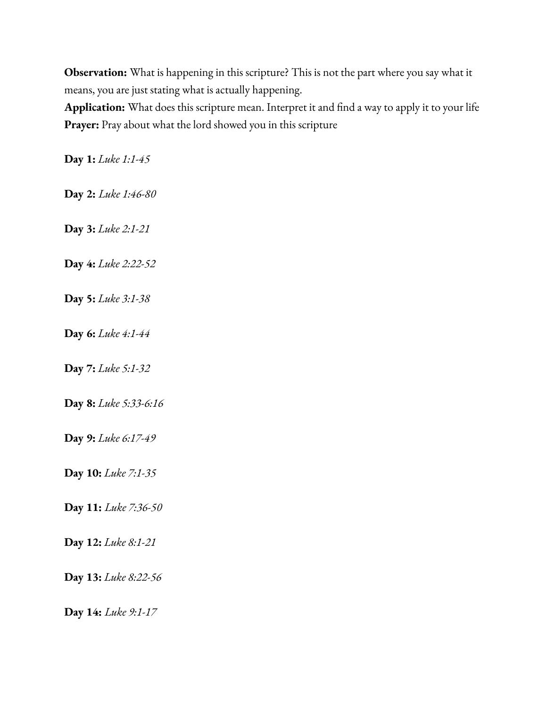**Observation:** What is happening in this scripture? This is not the part where you say what it means, you are just stating what is actually happening.

**Application:** What does this scripture mean. Interpret it and find a way to apply it to your life **Prayer:** Pray about what the lord showed you in this scripture

**Day 1:** *Luke 1:1-45*

**Day 2:** *Luke 1:46-80*

**Day 3:** *Luke 2:1-21*

**Day 4:** *Luke 2:22-52*

**Day 5:** *Luke 3:1-38*

**Day 6:** *Luke 4:1-44*

**Day 7:** *Luke 5:1-32*

**Day 8:** *Luke 5:33-6:16*

**Day 9:** *Luke 6:17-49*

**Day 10:** *Luke 7:1-35*

**Day 11:** *Luke 7:36-50*

**Day 12:** *Luke 8:1-21*

**Day 13:** *Luke 8:22-56*

**Day 14:** *Luke 9:1-17*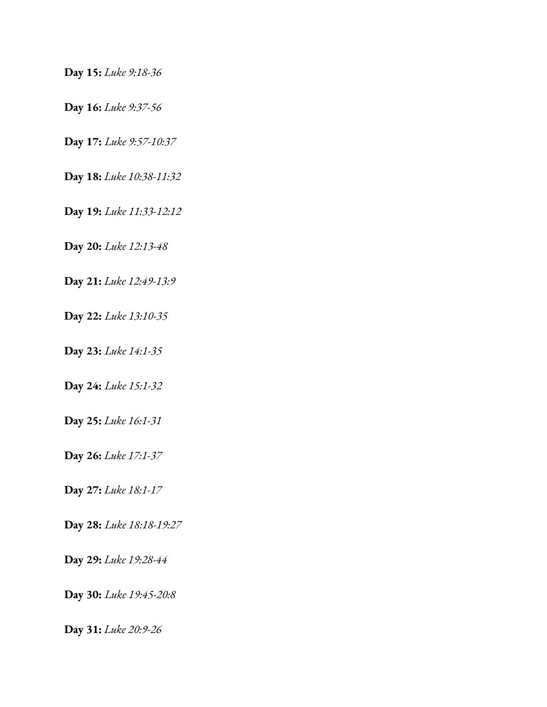**Day 15:** *Luke 9:18-36*

**Day 16:** *Luke 9:37-56*

**Day 17:** *Luke 9:57-10:37*

**Day 18:** *Luke 10:38-11:32*

**Day 19:** *Luke 11:33-12:12*

**Day 20:** *Luke 12:13-48*

**Day 21:** *Luke 12:49-13:9*

**Day 22:** *Luke 13:10-35*

**Day 23:** *Luke 14:1-35*

**Day 24:** *Luke 15:1-32*

**Day 25:** *Luke 16:1-31*

**Day 26:** *Luke 17:1-37*

**Day 27:** *Luke 18:1-17*

**Day 28:** *Luke 18:18-19:27*

**Day 29:** *Luke 19:28-44*

**Day 30:** *Luke 19:45-20:8*

**Day 31:** *Luke 20:9-26*